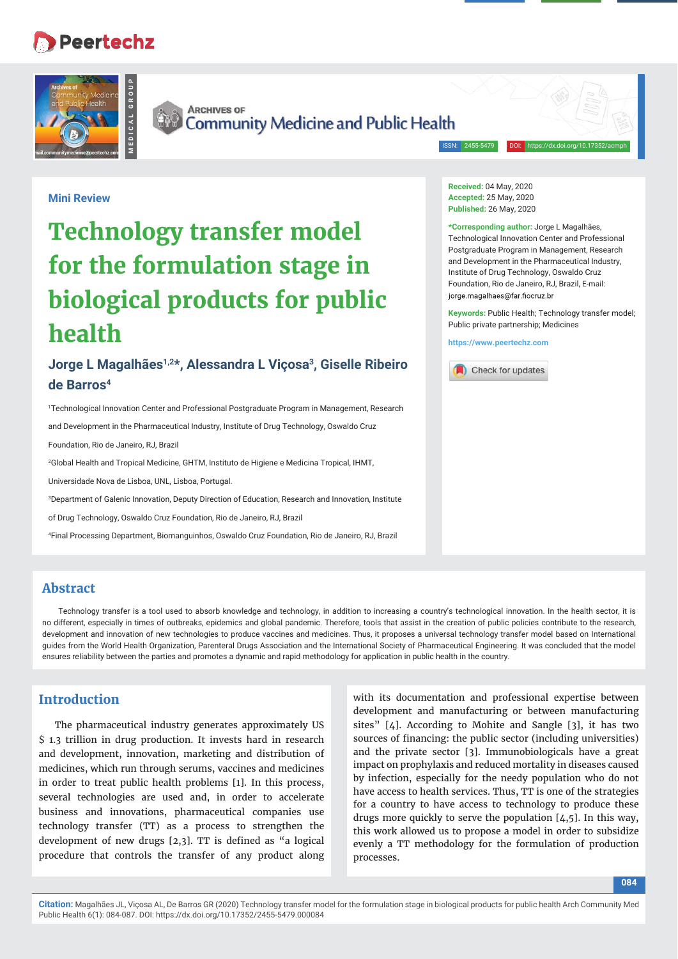# **Peertechz**



**Mini Review**



**ARCHIVES OF** Community Medicine and Public Health

ISSN: 2455-5479 DOI: https://dx.doi.org/10.17352/acmph

# **Technology transfer model for the formulation stage in biological products for public health**

# **Jorge L Magalhães1,2\*, Alessandra L Viçosa3, Giselle Ribeiro de Barros4**

1 Technological Innovation Center and Professional Postgraduate Program in Management, Research

and Development in the Pharmaceutical Industry, Institute of Drug Technology, Oswaldo Cruz

Foundation, Rio de Janeiro, RJ, Brazil

2 Global Health and Tropical Medicine, GHTM, Instituto de Higiene e Medicina Tropical, IHMT,

Universidade Nova de Lisboa, UNL, Lisboa, Portugal.

3 Department of Galenic Innovation, Deputy Direction of Education, Research and Innovation, Institute

of Drug Technology, Oswaldo Cruz Foundation, Rio de Janeiro, RJ, Brazil

4 Final Processing Department, Biomanguinhos, Oswaldo Cruz Foundation, Rio de Janeiro, RJ, Brazil

**Received:** 04 May, 2020 **Accepted:** 25 May, 2020 **Published:** 26 May, 2020

**\*Corresponding author:** Jorge L Magalhães, Technological Innovation Center and Professional Postgraduate Program in Management, Research and Development in the Pharmaceutical Industry, Institute of Drug Technology, Oswaldo Cruz Foundation, Rio de Janeiro, RJ, Brazil, E-mail: jorge.magalhaes@far.fiocruz.br

**Keywords:** Public Health; Technology transfer model; Public private partnership; Medicines

**https://www.peertechz.com**



#### **Abstract**

Technology transfer is a tool used to absorb knowledge and technology, in addition to increasing a country's technological innovation. In the health sector, it is no different, especially in times of outbreaks, epidemics and global pandemic. Therefore, tools that assist in the creation of public policies contribute to the research, development and innovation of new technologies to produce vaccines and medicines. Thus, it proposes a universal technology transfer model based on International guides from the World Health Organization, Parenteral Drugs Association and the International Society of Pharmaceutical Engineering. It was concluded that the model ensures reliability between the parties and promotes a dynamic and rapid methodology for application in public health in the country.

#### **Introduction**

The pharmaceutical industry generates approximately US \$ 1.3 trillion in drug production. It invests hard in research and development, innovation, marketing and distribution of medicines, which run through serums, vaccines and medicines in order to treat public health problems [1]. In this process, several technologies are used and, in order to accelerate business and innovations, pharmaceutical companies use technology transfer (TT) as a process to strengthen the development of new drugs  $[2,3]$ . TT is defined as "a logical procedure that controls the transfer of any product along with its documentation and professional expertise between development and manufacturing or between manufacturing sites" [4]. According to Mohite and Sangle [3], it has two sources of financing: the public sector (including universities) and the private sector [3]. Immunobiologicals have a great impact on prophylaxis and reduced mortality in diseases caused by infection, especially for the needy population who do not have access to health services. Thus, TT is one of the strategies for a country to have access to technology to produce these drugs more quickly to serve the population [4,5]. In this way, this work allowed us to propose a model in order to subsidize evenly a TT methodology for the formulation of production processes.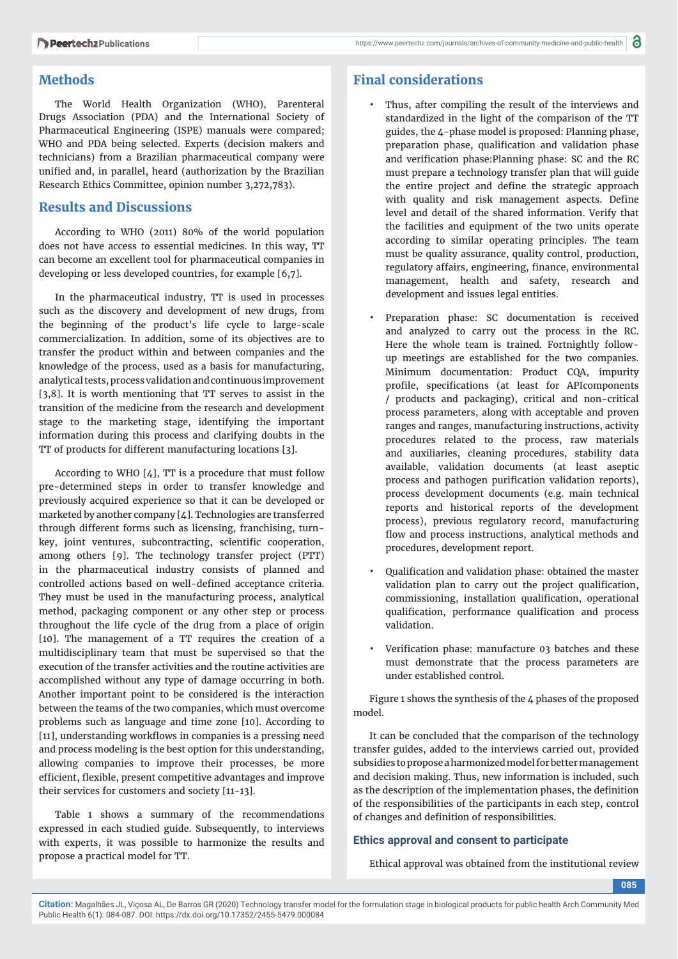### **Methods**

The World Health Organization (WHO), Parenteral Drugs Association (PDA) and the International Society of Pharmaceutical Engineering (ISPE) manuals were compared; WHO and PDA being selected. Experts (decision makers and technicians) from a Brazilian pharmaceutical company were unified and, in parallel, heard (authorization by the Brazilian Research Ethics Committee, opinion number 3,272,783).

### **Results and Discussions**

According to WHO (2011) 80% of the world population does not have access to essential medicines. In this way, TT can become an excellent tool for pharmaceutical companies in developing or less developed countries, for example [6,7].

In the pharmaceutical industry, TT is used in processes such as the discovery and development of new drugs, from the beginning of the product's life cycle to large-scale commercialization. In addition, some of its objectives are to transfer the product within and between companies and the knowledge of the process, used as a basis for manufacturing, analytical tests, process validation and continuous improvement [3,8]. It is worth mentioning that TT serves to assist in the transition of the medicine from the research and development stage to the marketing stage, identifying the important information during this process and clarifying doubts in the TT of products for different manufacturing locations [3].

According to WHO  $[4]$ , TT is a procedure that must follow pre-determined steps in order to transfer knowledge and previously acquired experience so that it can be developed or marketed by another company [4]. Technologies are transferred through different forms such as licensing, franchising, turnkey, joint ventures, subcontracting, scientific cooperation, among others [9]. The technology transfer project (PTT) in the pharmaceutical industry consists of planned and controlled actions based on well-defined acceptance criteria. They must be used in the manufacturing process, analytical method, packaging component or any other step or process throughout the life cycle of the drug from a place of origin [10]. The management of a TT requires the creation of a multidisciplinary team that must be supervised so that the execution of the transfer activities and the routine activities are accomplished without any type of damage occurring in both. Another important point to be considered is the interaction between the teams of the two companies, which must overcome problems such as language and time zone [10]. According to [11], understanding workflows in companies is a pressing need and process modeling is the best option for this understanding, allowing companies to improve their processes, be more efficient, flexible, present competitive advantages and improve their services for customers and society [11-13].

Table 1 shows a summary of the recommendations expressed in each studied guide. Subsequently, to interviews with experts, it was possible to harmonize the results and propose a practical model for TT.

## **Final considerations**

- Thus, after compiling the result of the interviews and standardized in the light of the comparison of the TT guides, the 4-phase model is proposed: Planning phase, preparation phase, qualification and validation phase and verification phase: Planning phase: SC and the RC must prepare a technology transfer plan that will guide the entire project and define the strategic approach with quality and risk management aspects. Define level and detail of the shared information. Verify that the facilities and equipment of the two units operate according to similar operating principles. The team must be quality assurance, quality control, production, regulatory affairs, engineering, finance, environmental management, health and safety, research and development and issues legal entities.
- Preparation phase: SC documentation is received and analyzed to carry out the process in the RC. Here the whole team is trained. Fortnightly followup meetings are established for the two companies. Minimum documentation: Product CQA, impurity profile, specifications (at least for APIcomponents / products and packaging), critical and non-critical process parameters, along with acceptable and proven ranges and ranges, manufacturing instructions, activity procedures related to the process, raw materials and auxiliaries, cleaning procedures, stability data available, validation documents (at least aseptic process and pathogen purification validation reports), process development documents (e.g. main technical reports and historical reports of the development process), previous regulatory record, manufacturing flow and process instructions, analytical methods and procedures, development report.
- Qualification and validation phase: obtained the master validation plan to carry out the project qualification, commissioning, installation qualification, operational qualification, performance qualification and process validation.
- Verification phase: manufacture 03 batches and these must demonstrate that the process parameters are under established control.

Figure 1 shows the synthesis of the 4 phases of the proposed model.

It can be concluded that the comparison of the technology transfer guides, added to the interviews carried out, provided subsidies to propose a harmonized model for better management and decision making. Thus, new information is included, such as the description of the implementation phases, the definition of the responsibilities of the participants in each step, control of changes and definition of responsibilities.

#### **Ethics approval and consent to participate**

Ethical approval was obtained from the institutional review

**085**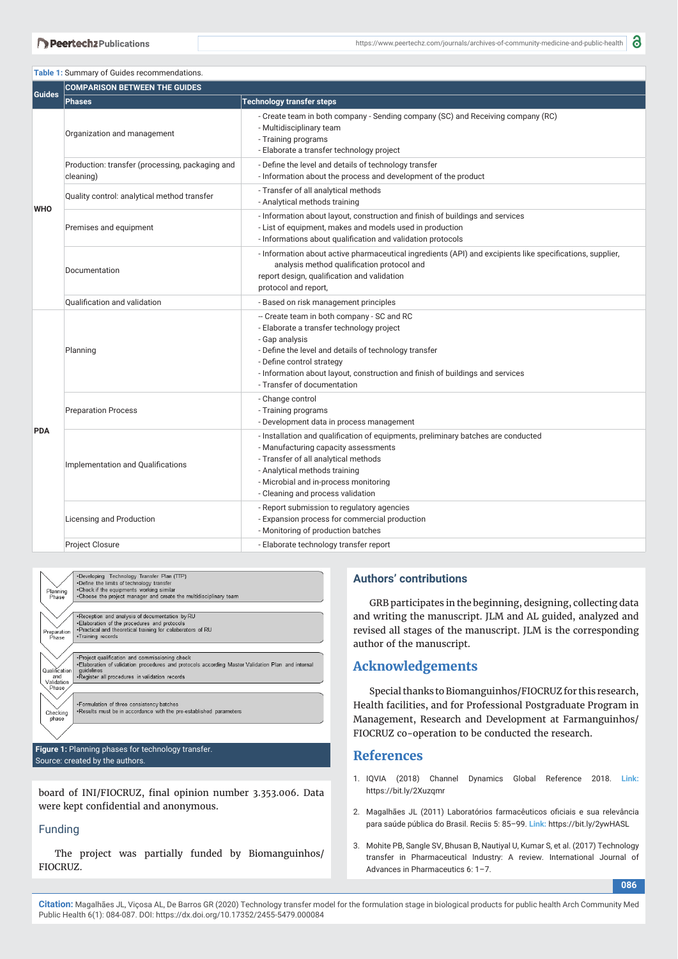#### **Table 1:** Summary of Guides recommendations.

| <b>Guides</b> | <b>COMPARISON BETWEEN THE GUIDES</b>                         |                                                                                                                                                                                                                                                                                                                 |
|---------------|--------------------------------------------------------------|-----------------------------------------------------------------------------------------------------------------------------------------------------------------------------------------------------------------------------------------------------------------------------------------------------------------|
|               | <b>Phases</b>                                                | <b>Technology transfer steps</b>                                                                                                                                                                                                                                                                                |
| <b>WHO</b>    | Organization and management                                  | - Create team in both company - Sending company (SC) and Receiving company (RC)<br>- Multidisciplinary team<br>- Training programs<br>- Elaborate a transfer technology project                                                                                                                                 |
|               | Production: transfer (processing, packaging and<br>cleaning) | - Define the level and details of technology transfer<br>- Information about the process and development of the product                                                                                                                                                                                         |
|               | Quality control: analytical method transfer                  | - Transfer of all analytical methods<br>- Analytical methods training                                                                                                                                                                                                                                           |
|               | Premises and equipment                                       | - Information about layout, construction and finish of buildings and services<br>- List of equipment, makes and models used in production<br>- Informations about qualification and validation protocols                                                                                                        |
|               | Documentation                                                | - Information about active pharmaceutical ingredients (API) and excipients like specifications, supplier,<br>analysis method qualification protocol and<br>report design, qualification and validation<br>protocol and report,                                                                                  |
|               | <b>Oualification and validation</b>                          | - Based on risk management principles                                                                                                                                                                                                                                                                           |
| <b>PDA</b>    | Planning                                                     | -- Create team in both company - SC and RC<br>- Elaborate a transfer technology project<br>- Gap analysis<br>- Define the level and details of technology transfer<br>- Define control strategy<br>- Information about layout, construction and finish of buildings and services<br>- Transfer of documentation |
|               | <b>Preparation Process</b>                                   | - Change control<br>- Training programs<br>- Development data in process management                                                                                                                                                                                                                             |
|               | Implementation and Qualifications                            | - Installation and qualification of equipments, preliminary batches are conducted<br>- Manufacturing capacity assessments<br>- Transfer of all analytical methods<br>- Analytical methods training<br>- Microbial and in-process monitoring<br>- Cleaning and process validation                                |
|               | Licensing and Production                                     | - Report submission to regulatory agencies<br>- Expansion process for commercial production<br>- Monitoring of production batches                                                                                                                                                                               |
|               | <b>Project Closure</b>                                       | - Elaborate technology transfer report                                                                                                                                                                                                                                                                          |



**Figure 1:** Planning phases for technology transfer. Source: created by the authors.

board of INI/FIOCRUZ, final opinion number 3.353.006. Data were kept confidential and anonymous.

#### Funding

The project was partially funded by Biomanguinhos/ FIOCRUZ.

#### **Authors' contributions**

GRB participates in the beginning, designing, collecting data and writing the manuscript. JLM and AL guided, analyzed and revised all stages of the manuscript. JLM is the corresponding author of the manuscript.

#### **Acknowledgements**

Special thanks to Biomanguinhos/FIOCRUZ for this research, Health facilities, and for Professional Postgraduate Program in Management, Research and Development at Farmanguinhos/ FIOCRUZ co-operation to be conducted the research.

#### **References**

- 1. IQVIA (2018) Channel Dynamics Global Reference 2018. **Link:** https://bit.ly/2Xuzqmr
- 2. Magalhães JL (2011) Laboratórios farmacêuticos oficiais e sua relevância para saúde pública do Brasil. Reciis 5: 85–99. **Link:** https://bit.ly/2ywHASL
- 3. Mohite PB, Sangle SV, Bhusan B, Nautiyal U, Kumar S, et al. (2017) Technology transfer in Pharmaceutical Industry: A review. International Journal of Advances in Pharmaceutics 6: 1–7.

**086**